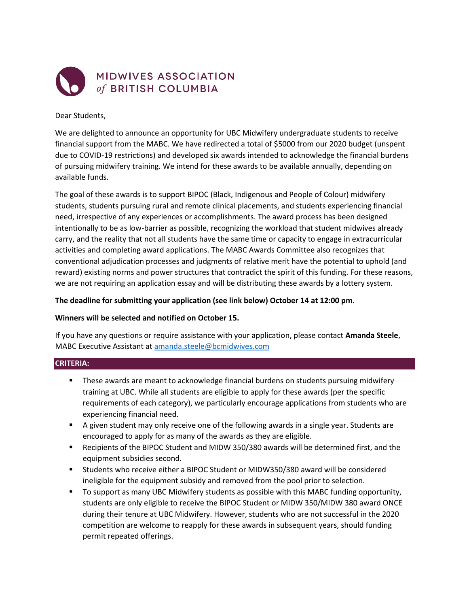

Dear Students,

We are delighted to announce an opportunity for UBC Midwifery undergraduate students to receive financial support from the MABC. We have redirected a total of \$5000 from our 2020 budget (unspent due to COVID-19 restrictions) and developed six awards intended to acknowledge the financial burdens of pursuing midwifery training. We intend for these awards to be available annually, depending on available funds.

The goal of these awards is to support BIPOC (Black, Indigenous and People of Colour) midwifery students, students pursuing rural and remote clinical placements, and students experiencing financial need, irrespective of any experiences or accomplishments. The award process has been designed intentionally to be as low-barrier as possible, recognizing the workload that student midwives already carry, and the reality that not all students have the same time or capacity to engage in extracurricular activities and completing award applications. The MABC Awards Committee also recognizes that conventional adjudication processes and judgments of relative merit have the potential to uphold (and reward) existing norms and power structures that contradict the spirit of this funding. For these reasons, we are not requiring an application essay and will be distributing these awards by a lottery system.

# **The deadline for submitting your application (see link below) October 14 at 12:00 pm**.

# **Winners will be selected and notified on October 15.**

If you have any questions or require assistance with your application, please contact **Amanda Steele**, MABC Executive Assistant at [amanda.steele@bcmidwives.com](mailto:amanda.steele@bcmidwives.com)

# **CRITERIA:**

- **These awards are meant to acknowledge financial burdens on students pursuing midwifery** training at UBC. While all students are eligible to apply for these awards (per the specific requirements of each category), we particularly encourage applications from students who are experiencing financial need.
- A given student may only receive one of the following awards in a single year. Students are encouraged to apply for as many of the awards as they are eligible.
- Recipients of the BIPOC Student and MIDW 350/380 awards will be determined first, and the equipment subsidies second.
- Students who receive either a BIPOC Student or MIDW350/380 award will be considered ineligible for the equipment subsidy and removed from the pool prior to selection.
- To support as many UBC Midwifery students as possible with this MABC funding opportunity, students are only eligible to receive the BIPOC Student or MIDW 350/MIDW 380 award ONCE during their tenure at UBC Midwifery. However, students who are not successful in the 2020 competition are welcome to reapply for these awards in subsequent years, should funding permit repeated offerings.